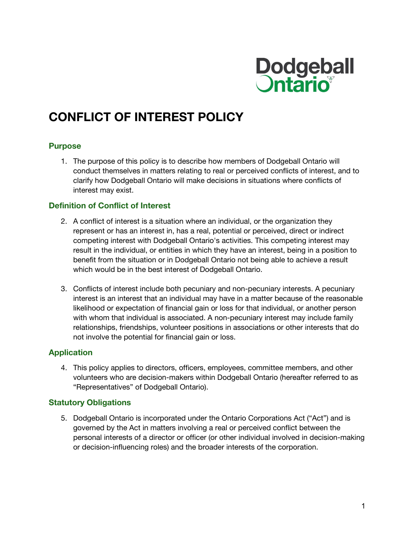

# **CONFLICT OF INTEREST POLICY**

#### **Purpose**

1. The purpose of this policy is to describe how members of Dodgeball Ontario will conduct themselves in matters relating to real or perceived conflicts of interest, and to clarify how Dodgeball Ontario will make decisions in situations where conflicts of interest may exist.

#### **Definition of Conflict of Interest**

- 2. A conflict of interest is a situation where an individual, or the organization they represent or has an interest in, has a real, potential or perceived, direct or indirect competing interest with Dodgeball Ontario's activities. This competing interest may result in the individual, or entities in which they have an interest, being in a position to benefit from the situation or in Dodgeball Ontario not being able to achieve a result which would be in the best interest of Dodgeball Ontario.
- 3. Conflicts of interest include both pecuniary and non-pecuniary interests. A pecuniary interest is an interest that an individual may have in a matter because of the reasonable likelihood or expectation of financial gain or loss for that individual, or another person with whom that individual is associated. A non-pecuniary interest may include family relationships, friendships, volunteer positions in associations or other interests that do not involve the potential for financial gain or loss.

# **Application**

4. This policy applies to directors, officers, employees, committee members, and other volunteers who are decision-makers within Dodgeball Ontario (hereafter referred to as "Representatives" of Dodgeball Ontario).

#### **Statutory Obligations**

5. Dodgeball Ontario is incorporated under the Ontario Corporations Act ("Act") and is governed by the Act in matters involving a real or perceived conflict between the personal interests of a director or officer (or other individual involved in decision-making or decision-influencing roles) and the broader interests of the corporation.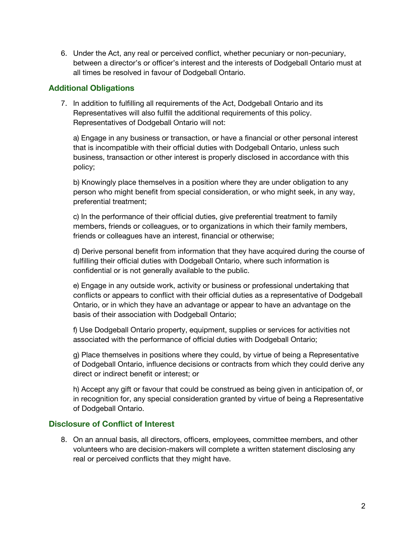6. Under the Act, any real or perceived conflict, whether pecuniary or non-pecuniary, between a director's or officer's interest and the interests of Dodgeball Ontario must at all times be resolved in favour of Dodgeball Ontario.

## **Additional Obligations**

7. In addition to fulfilling all requirements of the Act, Dodgeball Ontario and its Representatives will also fulfill the additional requirements of this policy. Representatives of Dodgeball Ontario will not:

a) Engage in any business or transaction, or have a financial or other personal interest that is incompatible with their official duties with Dodgeball Ontario, unless such business, transaction or other interest is properly disclosed in accordance with this policy;

b) Knowingly place themselves in a position where they are under obligation to any person who might benefit from special consideration, or who might seek, in any way, preferential treatment;

c) In the performance of their official duties, give preferential treatment to family members, friends or colleagues, or to organizations in which their family members, friends or colleagues have an interest, financial or otherwise;

d) Derive personal benefit from information that they have acquired during the course of fulfilling their official duties with Dodgeball Ontario, where such information is confidential or is not generally available to the public.

e) Engage in any outside work, activity or business or professional undertaking that conflicts or appears to conflict with their official duties as a representative of Dodgeball Ontario, or in which they have an advantage or appear to have an advantage on the basis of their association with Dodgeball Ontario;

f) Use Dodgeball Ontario property, equipment, supplies or services for activities not associated with the performance of official duties with Dodgeball Ontario;

g) Place themselves in positions where they could, by virtue of being a Representative of Dodgeball Ontario, influence decisions or contracts from which they could derive any direct or indirect benefit or interest; or

h) Accept any gift or favour that could be construed as being given in anticipation of, or in recognition for, any special consideration granted by virtue of being a Representative of Dodgeball Ontario.

# **Disclosure of Conflict of Interest**

8. On an annual basis, all directors, officers, employees, committee members, and other volunteers who are decision-makers will complete a written statement disclosing any real or perceived conflicts that they might have.